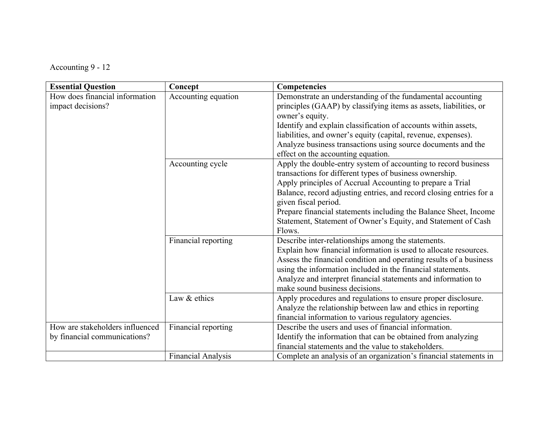Accounting 9 - 12

| <b>Essential Question</b>                           | Concept             | Competencies                                                                                                                    |
|-----------------------------------------------------|---------------------|---------------------------------------------------------------------------------------------------------------------------------|
| How does financial information<br>impact decisions? | Accounting equation | Demonstrate an understanding of the fundamental accounting<br>principles (GAAP) by classifying items as assets, liabilities, or |
|                                                     |                     | owner's equity.                                                                                                                 |
|                                                     |                     | Identify and explain classification of accounts within assets,                                                                  |
|                                                     |                     | liabilities, and owner's equity (capital, revenue, expenses).<br>Analyze business transactions using source documents and the   |
|                                                     |                     | effect on the accounting equation.                                                                                              |
|                                                     | Accounting cycle    | Apply the double-entry system of accounting to record business                                                                  |
|                                                     |                     | transactions for different types of business ownership.                                                                         |
|                                                     |                     | Apply principles of Accrual Accounting to prepare a Trial                                                                       |
|                                                     |                     | Balance, record adjusting entries, and record closing entries for a                                                             |
|                                                     |                     | given fiscal period.                                                                                                            |
|                                                     |                     | Prepare financial statements including the Balance Sheet, Income                                                                |
|                                                     |                     | Statement, Statement of Owner's Equity, and Statement of Cash                                                                   |
|                                                     |                     | Flows.                                                                                                                          |
|                                                     | Financial reporting | Describe inter-relationships among the statements.                                                                              |
|                                                     |                     | Explain how financial information is used to allocate resources.                                                                |
|                                                     |                     | Assess the financial condition and operating results of a business                                                              |
|                                                     |                     | using the information included in the financial statements.                                                                     |
|                                                     |                     | Analyze and interpret financial statements and information to                                                                   |
|                                                     |                     | make sound business decisions.                                                                                                  |
|                                                     | Law & ethics        | Apply procedures and regulations to ensure proper disclosure.                                                                   |
|                                                     |                     | Analyze the relationship between law and ethics in reporting                                                                    |
| How are stakeholders influenced                     | Financial reporting | financial information to various regulatory agencies.<br>Describe the users and uses of financial information.                  |
| by financial communications?                        |                     | Identify the information that can be obtained from analyzing                                                                    |
|                                                     |                     | financial statements and the value to stakeholders.                                                                             |
|                                                     | Financial Analysis  | Complete an analysis of an organization's financial statements in                                                               |